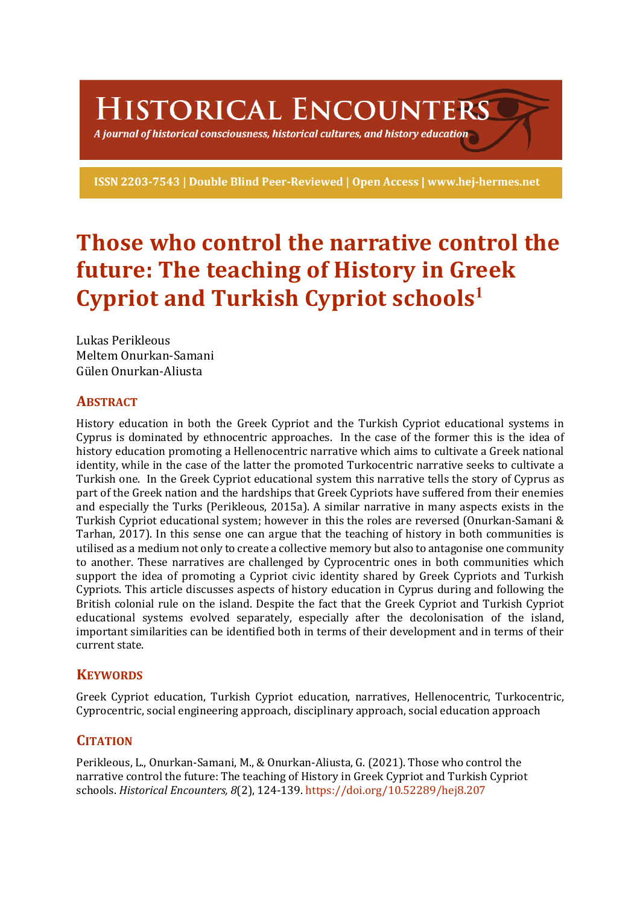HISTORICAL ENCOUNTERS

A journal of historical consciousness, historical cultures, and history education  $\geq$ 

ISSN 2203-7543 | Double Blind Peer-Reviewed | Open Access | www.hej-hermes.net

# **Those who control the narrative control the future: The teaching of History in Greek Cypriot and Turkish Cypriot schools<sup>1</sup>**

Lukas Perikleous Meltem Onurkan-Samani Gülen Onurkan-Aliusta

# **ABSTRACT**

History education in both the Greek Cypriot and the Turkish Cypriot educational systems in Cyprus is dominated by ethnocentric approaches. In the case of the former this is the idea of history education promoting a Hellenocentric narrative which aims to cultivate a Greek national identity, while in the case of the latter the promoted Turkocentric narrative seeks to cultivate a Turkish one. In the Greek Cypriot educational system this narrative tells the story of Cyprus as part of the Greek nation and the hardships that Greek Cypriots have suffered from their enemies and especially the Turks (Perikleous, 2015a). A similar narrative in many aspects exists in the Turkish Cypriot educational system; however in this the roles are reversed (Onurkan-Samani & Tarhan, 2017). In this sense one can argue that the teaching of history in both communities is utilised as a medium not only to create a collective memory but also to antagonise one community to another. These narratives are challenged by Cyprocentric ones in both communities which support the idea of promoting a Cypriot civic identity shared by Greek Cypriots and Turkish Cypriots. This article discusses aspects of history education in Cyprus during and following the British colonial rule on the island. Despite the fact that the Greek Cypriot and Turkish Cypriot educational systems evolved separately, especially after the decolonisation of the island, important similarities can be identified both in terms of their development and in terms of their current state.

# **KEYWORDS**

Greek Cypriot education, Turkish Cypriot education, narratives, Hellenocentric, Turkocentric, Cyprocentric, social engineering approach, disciplinary approach, social education approach

# **CITATION**

Perikleous, L., Onurkan-Samani, M., & Onurkan-Aliusta, G. (2021). Those who control the narrative control the future: The teaching of History in Greek Cypriot and Turkish Cypriot schools. *Historical Encounters, 8*(2), 124-139. https://doi.org/10.52289/hej8.207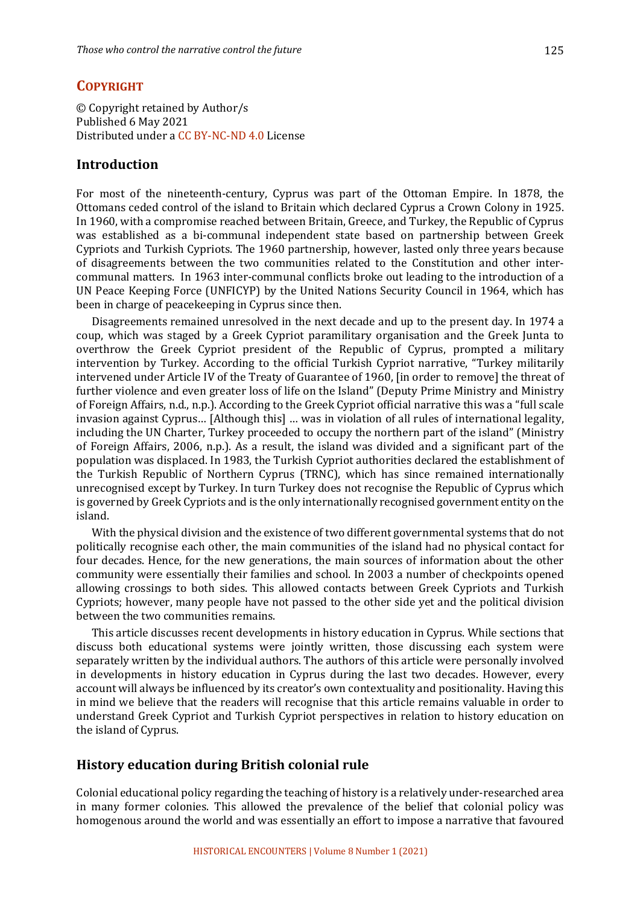© Copyright retained by Author/s Published 6 May 2021 Distributed under a CC BY-NC-ND 4.0 License

# **Introduction**

For most of the nineteenth-century, Cyprus was part of the Ottoman Empire. In 1878, the Ottomans ceded control of the island to Britain which declared Cyprus a Crown Colony in 1925. In 1960, with a compromise reached between Britain, Greece, and Turkey, the Republic of Cyprus was established as a bi-communal independent state based on partnership between Greek Cypriots and Turkish Cypriots. The 1960 partnership, however, lasted only three years because of disagreements between the two communities related to the Constitution and other intercommunal matters. In 1963 inter-communal conflicts broke out leading to the introduction of a UN Peace Keeping Force (UNFICYP) by the United Nations Security Council in 1964, which has been in charge of peacekeeping in Cyprus since then.

Disagreements remained unresolved in the next decade and up to the present day. In 1974 a coup, which was staged by a Greek Cypriot paramilitary organisation and the Greek Junta to overthrow the Greek Cypriot president of the Republic of Cyprus, prompted a military intervention by Turkey. According to the official Turkish Cypriot narrative, "Turkey militarily intervened under Article IV of the Treaty of Guarantee of 1960, [in order to remove] the threat of further violence and even greater loss of life on the Island" (Deputy Prime Ministry and Ministry of Foreign Affairs, n.d., n.p.). According to the Greek Cypriot official narrative this was a "full scale invasion against Cyprus... [Although this] ... was in violation of all rules of international legality, including the UN Charter, Turkey proceeded to occupy the northern part of the island" (Ministry of Foreign Affairs, 2006, n.p.). As a result, the island was divided and a significant part of the population was displaced. In 1983, the Turkish Cypriot authorities declared the establishment of the Turkish Republic of Northern Cyprus (TRNC), which has since remained internationally unrecognised except by Turkey. In turn Turkey does not recognise the Republic of Cyprus which is governed by Greek Cypriots and is the only internationally recognised government entity on the island. 

With the physical division and the existence of two different governmental systems that do not politically recognise each other, the main communities of the island had no physical contact for four decades. Hence, for the new generations, the main sources of information about the other community were essentially their families and school. In 2003 a number of checkpoints opened allowing crossings to both sides. This allowed contacts between Greek Cypriots and Turkish Cypriots; however, many people have not passed to the other side yet and the political division between the two communities remains.

This article discusses recent developments in history education in Cyprus. While sections that discuss both educational systems were jointly written, those discussing each system were separately written by the individual authors. The authors of this article were personally involved in developments in history education in Cyprus during the last two decades. However, every account will always be influenced by its creator's own contextuality and positionality. Having this in mind we believe that the readers will recognise that this article remains valuable in order to understand Greek Cypriot and Turkish Cypriot perspectives in relation to history education on the island of Cyprus.

# **History education during British colonial rule**

Colonial educational policy regarding the teaching of history is a relatively under-researched area in many former colonies. This allowed the prevalence of the belief that colonial policy was homogenous around the world and was essentially an effort to impose a narrative that favoured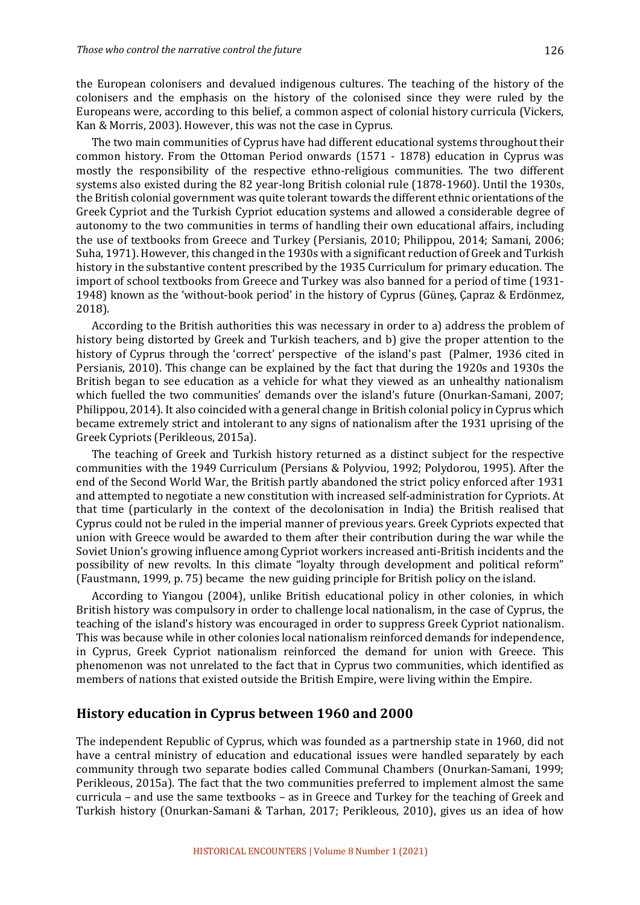the European colonisers and devalued indigenous cultures. The teaching of the history of the colonisers and the emphasis on the history of the colonised since they were ruled by the Europeans were, according to this belief, a common aspect of colonial history curricula (Vickers, Kan & Morris, 2003). However, this was not the case in Cyprus.

The two main communities of Cyprus have had different educational systems throughout their common history. From the Ottoman Period onwards (1571 - 1878) education in Cyprus was mostly the responsibility of the respective ethno-religious communities. The two different systems also existed during the 82 year-long British colonial rule (1878-1960). Until the 1930s, the British colonial government was quite tolerant towards the different ethnic orientations of the Greek Cypriot and the Turkish Cypriot education systems and allowed a considerable degree of autonomy to the two communities in terms of handling their own educational affairs, including the use of textbooks from Greece and Turkey (Persianis, 2010; Philippou, 2014; Samani, 2006; Suha, 1971). However, this changed in the 1930s with a significant reduction of Greek and Turkish history in the substantive content prescribed by the 1935 Curriculum for primary education. The import of school textbooks from Greece and Turkey was also banned for a period of time (1931-1948) known as the 'without-book period' in the history of Cyprus (Güneş, Çapraz & Erdönmez, 2018).

According to the British authorities this was necessary in order to a) address the problem of history being distorted by Greek and Turkish teachers, and b) give the proper attention to the history of Cyprus through the 'correct' perspective of the island's past (Palmer, 1936 cited in Persianis, 2010). This change can be explained by the fact that during the 1920s and 1930s the British began to see education as a vehicle for what they viewed as an unhealthy nationalism which fuelled the two communities' demands over the island's future (Onurkan-Samani, 2007; Philippou, 2014). It also coincided with a general change in British colonial policy in Cyprus which became extremely strict and intolerant to any signs of nationalism after the 1931 uprising of the Greek Cypriots (Perikleous, 2015a).

The teaching of Greek and Turkish history returned as a distinct subject for the respective communities with the 1949 Curriculum (Persians & Polyviou, 1992; Polydorou, 1995). After the end of the Second World War, the British partly abandoned the strict policy enforced after 1931 and attempted to negotiate a new constitution with increased self-administration for Cypriots. At that time (particularly in the context of the decolonisation in India) the British realised that Cyprus could not be ruled in the imperial manner of previous years. Greek Cypriots expected that union with Greece would be awarded to them after their contribution during the war while the Soviet Union's growing influence among Cypriot workers increased anti-British incidents and the possibility of new revolts. In this climate "loyalty through development and political reform" (Faustmann, 1999, p. 75) became the new guiding principle for British policy on the island.

According to Yiangou (2004), unlike British educational policy in other colonies, in which British history was compulsory in order to challenge local nationalism, in the case of Cyprus, the teaching of the island's history was encouraged in order to suppress Greek Cypriot nationalism. This was because while in other colonies local nationalism reinforced demands for independence, in Cyprus, Greek Cypriot nationalism reinforced the demand for union with Greece. This phenomenon was not unrelated to the fact that in Cyprus two communities, which identified as members of nations that existed outside the British Empire, were living within the Empire.

## **History education in Cyprus between 1960 and 2000**

The independent Republic of Cyprus, which was founded as a partnership state in 1960, did not have a central ministry of education and educational issues were handled separately by each community through two separate bodies called Communal Chambers (Onurkan-Samani, 1999; Perikleous, 2015a). The fact that the two communities preferred to implement almost the same curricula – and use the same textbooks – as in Greece and Turkey for the teaching of Greek and Turkish history (Onurkan-Samani & Tarhan, 2017; Perikleous, 2010), gives us an idea of how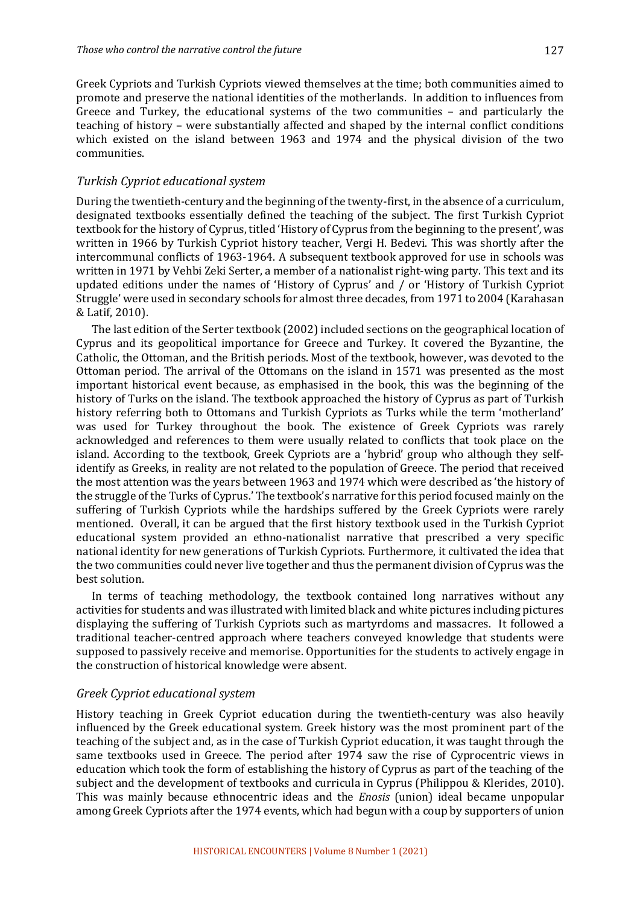Greek Cypriots and Turkish Cypriots viewed themselves at the time; both communities aimed to promote and preserve the national identities of the motherlands. In addition to influences from Greece and Turkey, the educational systems of the two communities  $-$  and particularly the teaching of history – were substantially affected and shaped by the internal conflict conditions which existed on the island between 1963 and 1974 and the physical division of the two communities.

#### *Turkish Cypriot educational system*

During the twentieth-century and the beginning of the twenty-first, in the absence of a curriculum, designated textbooks essentially defined the teaching of the subject. The first Turkish Cypriot textbook for the history of Cyprus, titled 'History of Cyprus from the beginning to the present', was written in 1966 by Turkish Cypriot history teacher, Vergi H. Bedevi. This was shortly after the intercommunal conflicts of 1963-1964. A subsequent textbook approved for use in schools was written in 1971 by Vehbi Zeki Serter, a member of a nationalist right-wing party. This text and its updated editions under the names of 'History of Cyprus' and / or 'History of Turkish Cypriot Struggle' were used in secondary schools for almost three decades, from 1971 to 2004 (Karahasan & Latif, 2010). 

The last edition of the Serter textbook (2002) included sections on the geographical location of Cyprus and its geopolitical importance for Greece and Turkey. It covered the Byzantine, the Catholic, the Ottoman, and the British periods. Most of the textbook, however, was devoted to the Ottoman period. The arrival of the Ottomans on the island in 1571 was presented as the most important historical event because, as emphasised in the book, this was the beginning of the history of Turks on the island. The textbook approached the history of Cyprus as part of Turkish history referring both to Ottomans and Turkish Cypriots as Turks while the term 'motherland' was used for Turkey throughout the book. The existence of Greek Cypriots was rarely acknowledged and references to them were usually related to conflicts that took place on the island. According to the textbook, Greek Cypriots are a 'hybrid' group who although they selfidentify as Greeks, in reality are not related to the population of Greece. The period that received the most attention was the years between 1963 and 1974 which were described as 'the history of the struggle of the Turks of Cyprus.' The textbook's narrative for this period focused mainly on the suffering of Turkish Cypriots while the hardships suffered by the Greek Cypriots were rarely mentioned. Overall, it can be argued that the first history textbook used in the Turkish Cypriot educational system provided an ethno-nationalist narrative that prescribed a very specific national identity for new generations of Turkish Cypriots. Furthermore, it cultivated the idea that the two communities could never live together and thus the permanent division of Cyprus was the best solution.

In terms of teaching methodology, the textbook contained long narratives without any activities for students and was illustrated with limited black and white pictures including pictures displaying the suffering of Turkish Cypriots such as martyrdoms and massacres. It followed a traditional teacher-centred approach where teachers conveyed knowledge that students were supposed to passively receive and memorise. Opportunities for the students to actively engage in the construction of historical knowledge were absent.

#### *Greek Cypriot educational system*

History teaching in Greek Cypriot education during the twentieth-century was also heavily influenced by the Greek educational system. Greek history was the most prominent part of the teaching of the subject and, as in the case of Turkish Cypriot education, it was taught through the same textbooks used in Greece. The period after 1974 saw the rise of Cyprocentric views in education which took the form of establishing the history of Cyprus as part of the teaching of the subject and the development of textbooks and curricula in Cyprus (Philippou & Klerides, 2010). This was mainly because ethnocentric ideas and the *Enosis* (union) ideal became unpopular among Greek Cypriots after the 1974 events, which had begun with a coup by supporters of union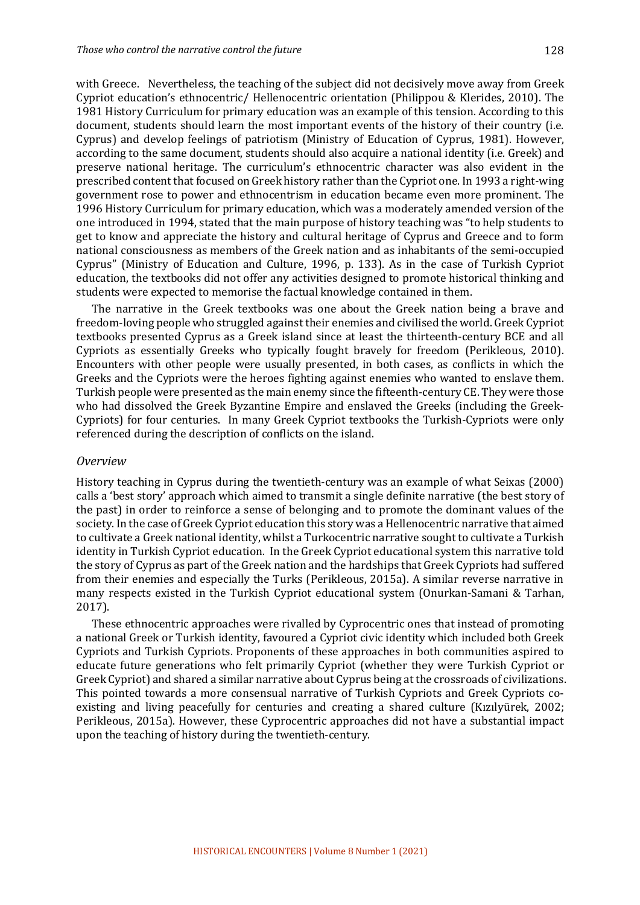with Greece. Nevertheless, the teaching of the subject did not decisively move away from Greek Cypriot education's ethnocentric/ Hellenocentric orientation (Philippou & Klerides, 2010). The 1981 History Curriculum for primary education was an example of this tension. According to this document, students should learn the most important events of the history of their country (i.e. Cyprus) and develop feelings of patriotism (Ministry of Education of Cyprus, 1981). However, according to the same document, students should also acquire a national identity (i.e. Greek) and preserve national heritage. The curriculum's ethnocentric character was also evident in the prescribed content that focused on Greek history rather than the Cypriot one. In 1993 a right-wing government rose to power and ethnocentrism in education became even more prominent. The 1996 History Curriculum for primary education, which was a moderately amended version of the one introduced in 1994, stated that the main purpose of history teaching was "to help students to get to know and appreciate the history and cultural heritage of Cyprus and Greece and to form national consciousness as members of the Greek nation and as inhabitants of the semi-occupied Cyprus" (Ministry of Education and Culture, 1996, p. 133). As in the case of Turkish Cypriot education, the textbooks did not offer any activities designed to promote historical thinking and students were expected to memorise the factual knowledge contained in them.

The narrative in the Greek textbooks was one about the Greek nation being a brave and freedom-loving people who struggled against their enemies and civilised the world. Greek Cypriot textbooks presented Cyprus as a Greek island since at least the thirteenth-century BCE and all Cypriots as essentially Greeks who typically fought bravely for freedom (Perikleous, 2010). Encounters with other people were usually presented, in both cases, as conflicts in which the Greeks and the Cypriots were the heroes fighting against enemies who wanted to enslave them. Turkish people were presented as the main enemy since the fifteenth-century CE. They were those who had dissolved the Greek Byzantine Empire and enslaved the Greeks (including the Greek-Cypriots) for four centuries. In many Greek Cypriot textbooks the Turkish-Cypriots were only referenced during the description of conflicts on the island.

#### *Overview*

History teaching in Cyprus during the twentieth-century was an example of what Seixas (2000) calls a 'best story' approach which aimed to transmit a single definite narrative (the best story of the past) in order to reinforce a sense of belonging and to promote the dominant values of the society. In the case of Greek Cypriot education this story was a Hellenocentric narrative that aimed to cultivate a Greek national identity, whilst a Turkocentric narrative sought to cultivate a Turkish identity in Turkish Cypriot education. In the Greek Cypriot educational system this narrative told the story of Cyprus as part of the Greek nation and the hardships that Greek Cypriots had suffered from their enemies and especially the Turks (Perikleous, 2015a). A similar reverse narrative in many respects existed in the Turkish Cypriot educational system (Onurkan-Samani & Tarhan, 2017). 

These ethnocentric approaches were rivalled by Cyprocentric ones that instead of promoting a national Greek or Turkish identity, favoured a Cypriot civic identity which included both Greek Cypriots and Turkish Cypriots. Proponents of these approaches in both communities aspired to educate future generations who felt primarily Cypriot (whether they were Turkish Cypriot or Greek Cypriot) and shared a similar narrative about Cyprus being at the crossroads of civilizations. This pointed towards a more consensual narrative of Turkish Cypriots and Greek Cypriots coexisting and living peacefully for centuries and creating a shared culture (Kızılyürek, 2002; Perikleous, 2015a). However, these Cyprocentric approaches did not have a substantial impact upon the teaching of history during the twentieth-century.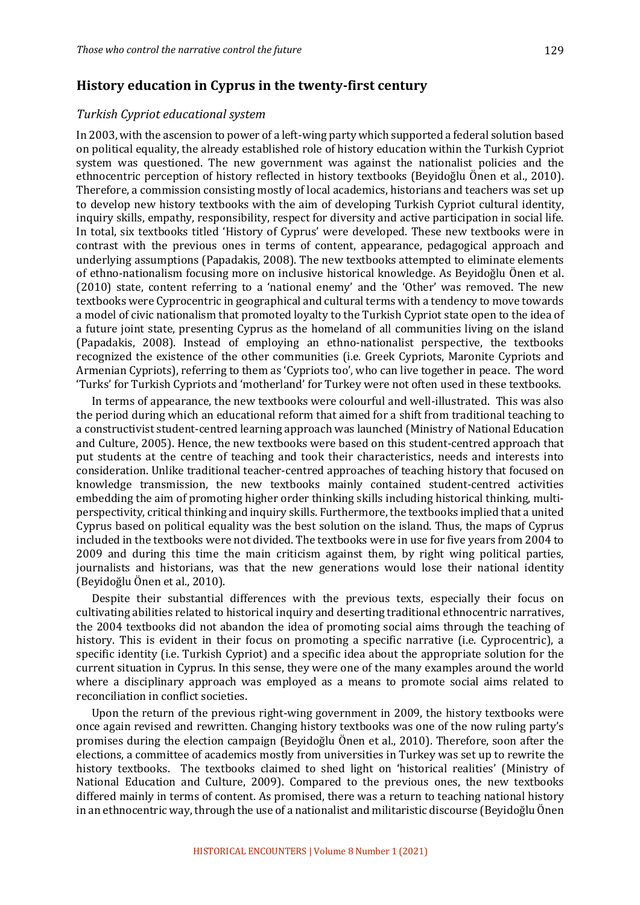## **History education in Cyprus in the twenty-first century**

## *Turkish Cypriot educational system*

In 2003, with the ascension to power of a left-wing party which supported a federal solution based on political equality, the already established role of history education within the Turkish Cypriot system was questioned. The new government was against the nationalist policies and the ethnocentric perception of history reflected in history textbooks (Beyidoğlu Önen et al., 2010). Therefore, a commission consisting mostly of local academics, historians and teachers was set up to develop new history textbooks with the aim of developing Turkish Cypriot cultural identity, inquiry skills, empathy, responsibility, respect for diversity and active participation in social life. In total, six textbooks titled 'History of Cyprus' were developed. These new textbooks were in contrast with the previous ones in terms of content, appearance, pedagogical approach and underlying assumptions (Papadakis, 2008). The new textbooks attempted to eliminate elements of ethno-nationalism focusing more on inclusive historical knowledge. As Beyidoğlu Önen et al. (2010) state, content referring to a 'national enemy' and the 'Other' was removed. The new textbooks were Cyprocentric in geographical and cultural terms with a tendency to move towards a model of civic nationalism that promoted loyalty to the Turkish Cypriot state open to the idea of a future joint state, presenting Cyprus as the homeland of all communities living on the island (Papadakis, 2008). Instead of employing an ethno-nationalist perspective, the textbooks recognized the existence of the other communities (i.e. Greek Cypriots, Maronite Cypriots and Armenian Cypriots), referring to them as 'Cypriots too', who can live together in peace. The word 'Turks' for Turkish Cypriots and 'motherland' for Turkey were not often used in these textbooks.

In terms of appearance, the new textbooks were colourful and well-illustrated. This was also the period during which an educational reform that aimed for a shift from traditional teaching to a constructivist student-centred learning approach was launched (Ministry of National Education and Culture, 2005). Hence, the new textbooks were based on this student-centred approach that put students at the centre of teaching and took their characteristics, needs and interests into consideration. Unlike traditional teacher-centred approaches of teaching history that focused on knowledge transmission, the new textbooks mainly contained student-centred activities embedding the aim of promoting higher order thinking skills including historical thinking, multiperspectivity, critical thinking and inquiry skills. Furthermore, the textbooks implied that a united Cyprus based on political equality was the best solution on the island. Thus, the maps of Cyprus included in the textbooks were not divided. The textbooks were in use for five years from 2004 to 2009 and during this time the main criticism against them, by right wing political parties, journalists and historians, was that the new generations would lose their national identity (Beyidoğlu Önen et al., 2010). 

Despite their substantial differences with the previous texts, especially their focus on cultivating abilities related to historical inquiry and deserting traditional ethnocentric narratives, the 2004 textbooks did not abandon the idea of promoting social aims through the teaching of history. This is evident in their focus on promoting a specific narrative (i.e. Cyprocentric), a specific identity (i.e. Turkish Cypriot) and a specific idea about the appropriate solution for the current situation in Cyprus. In this sense, they were one of the many examples around the world where a disciplinary approach was employed as a means to promote social aims related to reconciliation in conflict societies.

Upon the return of the previous right-wing government in 2009, the history textbooks were once again revised and rewritten. Changing history textbooks was one of the now ruling party's promises during the election campaign (Beyidoğlu Önen et al., 2010). Therefore, soon after the elections, a committee of academics mostly from universities in Turkey was set up to rewrite the history textbooks. The textbooks claimed to shed light on 'historical realities' (Ministry of National Education and Culture, 2009). Compared to the previous ones, the new textbooks differed mainly in terms of content. As promised, there was a return to teaching national history in an ethnocentric way, through the use of a nationalist and militaristic discourse (Beyidoğlu Önen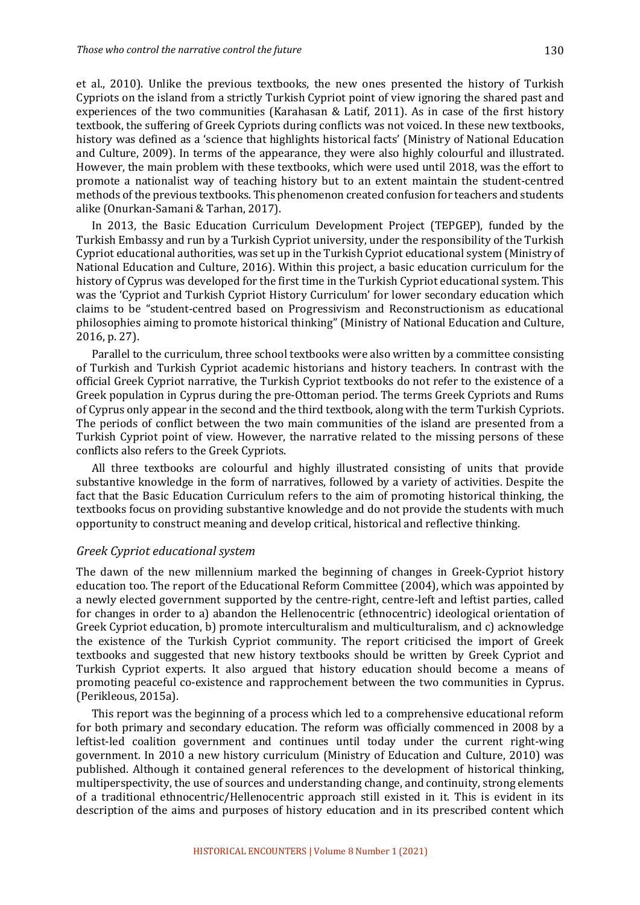et al., 2010). Unlike the previous textbooks, the new ones presented the history of Turkish Cypriots on the island from a strictly Turkish Cypriot point of view ignoring the shared past and experiences of the two communities (Karahasan & Latif, 2011). As in case of the first history textbook, the suffering of Greek Cypriots during conflicts was not voiced. In these new textbooks, history was defined as a 'science that highlights historical facts' (Ministry of National Education and Culture, 2009). In terms of the appearance, they were also highly colourful and illustrated. However, the main problem with these textbooks, which were used until 2018, was the effort to promote a nationalist way of teaching history but to an extent maintain the student-centred methods of the previous textbooks. This phenomenon created confusion for teachers and students alike (Onurkan-Samani & Tarhan, 2017).

In 2013, the Basic Education Curriculum Development Project (TEPGEP), funded by the Turkish Embassy and run by a Turkish Cypriot university, under the responsibility of the Turkish Cypriot educational authorities, was set up in the Turkish Cypriot educational system (Ministry of National Education and Culture, 2016). Within this project, a basic education curriculum for the history of Cyprus was developed for the first time in the Turkish Cypriot educational system. This was the 'Cypriot and Turkish Cypriot History Curriculum' for lower secondary education which claims to be "student-centred based on Progressivism and Reconstructionism as educational philosophies aiming to promote historical thinking" (Ministry of National Education and Culture, 2016, p. 27).

Parallel to the curriculum, three school textbooks were also written by a committee consisting of Turkish and Turkish Cypriot academic historians and history teachers. In contrast with the official Greek Cypriot narrative, the Turkish Cypriot textbooks do not refer to the existence of a Greek population in Cyprus during the pre-Ottoman period. The terms Greek Cypriots and Rums of Cyprus only appear in the second and the third textbook, along with the term Turkish Cypriots. The periods of conflict between the two main communities of the island are presented from a Turkish Cypriot point of view. However, the narrative related to the missing persons of these conflicts also refers to the Greek Cypriots.

All three textbooks are colourful and highly illustrated consisting of units that provide substantive knowledge in the form of narratives, followed by a variety of activities. Despite the fact that the Basic Education Curriculum refers to the aim of promoting historical thinking, the textbooks focus on providing substantive knowledge and do not provide the students with much opportunity to construct meaning and develop critical, historical and reflective thinking.

#### *Greek Cypriot educational system*

The dawn of the new millennium marked the beginning of changes in Greek-Cypriot history education too. The report of the Educational Reform Committee (2004), which was appointed by a newly elected government supported by the centre-right, centre-left and leftist parties, called for changes in order to a) abandon the Hellenocentric (ethnocentric) ideological orientation of Greek Cypriot education, b) promote interculturalism and multiculturalism, and c) acknowledge the existence of the Turkish Cypriot community. The report criticised the import of Greek textbooks and suggested that new history textbooks should be written by Greek Cypriot and Turkish Cypriot experts. It also argued that history education should become a means of promoting peaceful co-existence and rapprochement between the two communities in Cyprus. (Perikleous, 2015a). 

This report was the beginning of a process which led to a comprehensive educational reform for both primary and secondary education. The reform was officially commenced in 2008 by a leftist-led coalition government and continues until today under the current right-wing government. In 2010 a new history curriculum (Ministry of Education and Culture, 2010) was published. Although it contained general references to the development of historical thinking, multiperspectivity, the use of sources and understanding change, and continuity, strong elements of a traditional ethnocentric/Hellenocentric approach still existed in it. This is evident in its description of the aims and purposes of history education and in its prescribed content which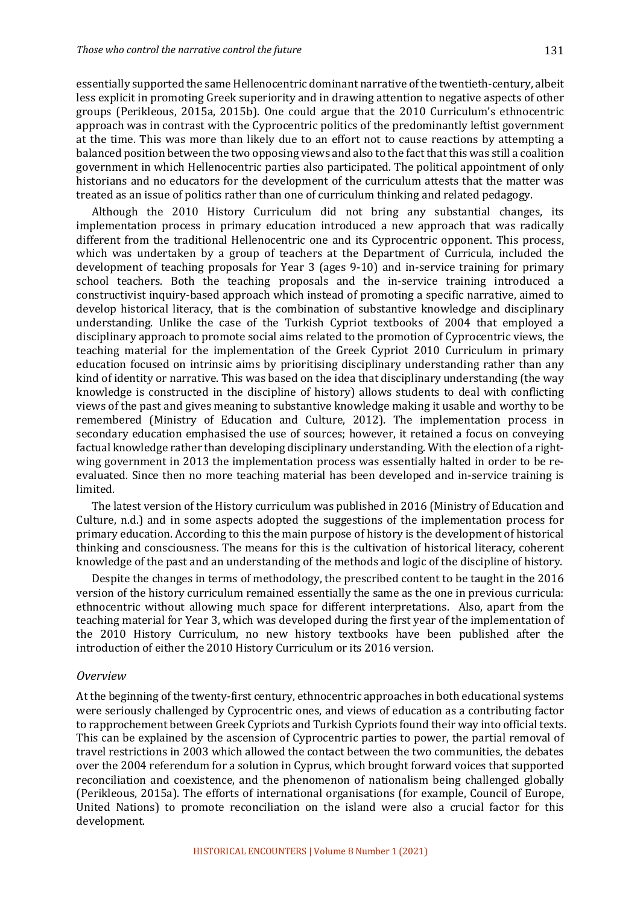essentially supported the same Hellenocentric dominant narrative of the twentieth-century, albeit less explicit in promoting Greek superiority and in drawing attention to negative aspects of other groups (Perikleous, 2015a, 2015b). One could argue that the 2010 Curriculum's ethnocentric approach was in contrast with the Cyprocentric politics of the predominantly leftist government at the time. This was more than likely due to an effort not to cause reactions by attempting a balanced position between the two opposing views and also to the fact that this was still a coalition government in which Hellenocentric parties also participated. The political appointment of only historians and no educators for the development of the curriculum attests that the matter was treated as an issue of politics rather than one of curriculum thinking and related pedagogy.

Although the 2010 History Curriculum did not bring any substantial changes, its implementation process in primary education introduced a new approach that was radically different from the traditional Hellenocentric one and its Cyprocentric opponent. This process, which was undertaken by a group of teachers at the Department of Curricula, included the development of teaching proposals for Year 3 (ages 9-10) and in-service training for primary school teachers. Both the teaching proposals and the in-service training introduced a constructivist inquiry-based approach which instead of promoting a specific narrative, aimed to develop historical literacy, that is the combination of substantive knowledge and disciplinary understanding. Unlike the case of the Turkish Cypriot textbooks of 2004 that employed a disciplinary approach to promote social aims related to the promotion of Cyprocentric views, the teaching material for the implementation of the Greek Cypriot 2010 Curriculum in primary education focused on intrinsic aims by prioritising disciplinary understanding rather than any kind of identity or narrative. This was based on the idea that disciplinary understanding (the way knowledge is constructed in the discipline of history) allows students to deal with conflicting views of the past and gives meaning to substantive knowledge making it usable and worthy to be remembered (Ministry of Education and Culture, 2012). The implementation process in secondary education emphasised the use of sources; however, it retained a focus on conveying factual knowledge rather than developing disciplinary understanding. With the election of a rightwing government in 2013 the implementation process was essentially halted in order to be reevaluated. Since then no more teaching material has been developed and in-service training is limited. 

The latest version of the History curriculum was published in 2016 (Ministry of Education and Culture, n.d.) and in some aspects adopted the suggestions of the implementation process for primary education. According to this the main purpose of history is the development of historical thinking and consciousness. The means for this is the cultivation of historical literacy, coherent knowledge of the past and an understanding of the methods and logic of the discipline of history.

Despite the changes in terms of methodology, the prescribed content to be taught in the 2016 version of the history curriculum remained essentially the same as the one in previous curricula: ethnocentric without allowing much space for different interpretations. Also, apart from the teaching material for Year 3, which was developed during the first year of the implementation of the 2010 History Curriculum, no new history textbooks have been published after the introduction of either the 2010 History Curriculum or its 2016 version.

#### *Overview*

At the beginning of the twenty-first century, ethnocentric approaches in both educational systems were seriously challenged by Cyprocentric ones, and views of education as a contributing factor to rapprochement between Greek Cypriots and Turkish Cypriots found their way into official texts. This can be explained by the ascension of Cyprocentric parties to power, the partial removal of travel restrictions in 2003 which allowed the contact between the two communities, the debates over the 2004 referendum for a solution in Cyprus, which brought forward voices that supported reconciliation and coexistence, and the phenomenon of nationalism being challenged globally (Perikleous, 2015a). The efforts of international organisations (for example, Council of Europe, United Nations) to promote reconciliation on the island were also a crucial factor for this development.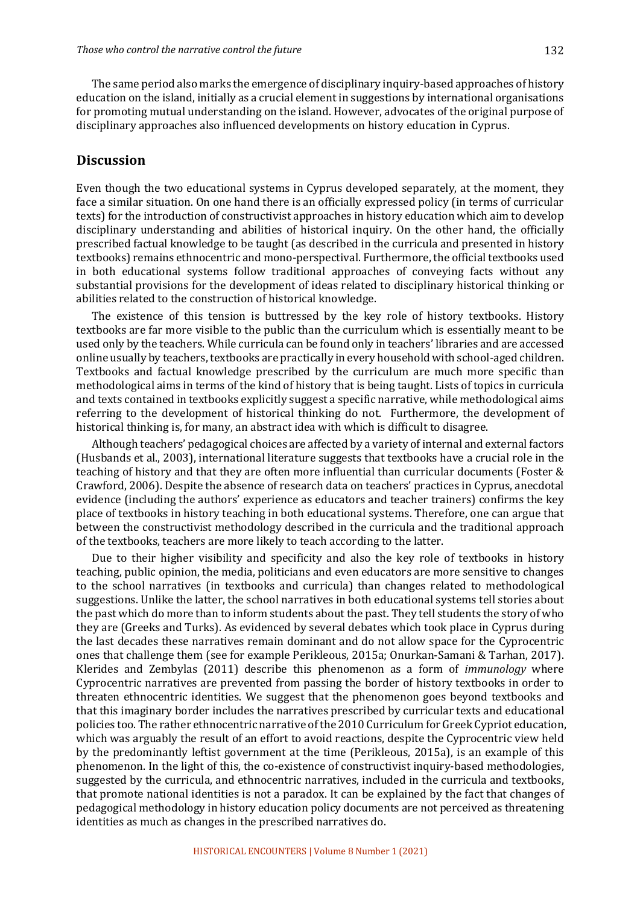The same period also marks the emergence of disciplinary inquiry-based approaches of history education on the island, initially as a crucial element in suggestions by international organisations for promoting mutual understanding on the island. However, advocates of the original purpose of disciplinary approaches also influenced developments on history education in Cyprus.

## **Discussion**

Even though the two educational systems in Cyprus developed separately, at the moment, they face a similar situation. On one hand there is an officially expressed policy (in terms of curricular texts) for the introduction of constructivist approaches in history education which aim to develop disciplinary understanding and abilities of historical inquiry. On the other hand, the officially prescribed factual knowledge to be taught (as described in the curricula and presented in history textbooks) remains ethnocentric and mono-perspectival. Furthermore, the official textbooks used in both educational systems follow traditional approaches of conveying facts without any substantial provisions for the development of ideas related to disciplinary historical thinking or abilities related to the construction of historical knowledge.

The existence of this tension is buttressed by the key role of history textbooks. History textbooks are far more visible to the public than the curriculum which is essentially meant to be used only by the teachers. While curricula can be found only in teachers' libraries and are accessed online usually by teachers, textbooks are practically in every household with school-aged children. Textbooks and factual knowledge prescribed by the curriculum are much more specific than methodological aims in terms of the kind of history that is being taught. Lists of topics in curricula and texts contained in textbooks explicitly suggest a specific narrative, while methodological aims referring to the development of historical thinking do not. Furthermore, the development of historical thinking is, for many, an abstract idea with which is difficult to disagree.

Although teachers' pedagogical choices are affected by a variety of internal and external factors (Husbands et al., 2003), international literature suggests that textbooks have a crucial role in the teaching of history and that they are often more influential than curricular documents (Foster & Crawford, 2006). Despite the absence of research data on teachers' practices in Cyprus, anecdotal evidence (including the authors' experience as educators and teacher trainers) confirms the key place of textbooks in history teaching in both educational systems. Therefore, one can argue that between the constructivist methodology described in the curricula and the traditional approach of the textbooks, teachers are more likely to teach according to the latter.

Due to their higher visibility and specificity and also the key role of textbooks in history teaching, public opinion, the media, politicians and even educators are more sensitive to changes to the school narratives (in textbooks and curricula) than changes related to methodological suggestions. Unlike the latter, the school narratives in both educational systems tell stories about the past which do more than to inform students about the past. They tell students the story of who they are (Greeks and Turks). As evidenced by several debates which took place in Cyprus during the last decades these narratives remain dominant and do not allow space for the Cyprocentric ones that challenge them (see for example Perikleous, 2015a; Onurkan-Samani & Tarhan, 2017). Klerides and Zembylas (2011) describe this phenomenon as a form of *immunology* where Cyprocentric narratives are prevented from passing the border of history textbooks in order to threaten ethnocentric identities. We suggest that the phenomenon goes beyond textbooks and that this imaginary border includes the narratives prescribed by curricular texts and educational policies too. The rather ethnocentric narrative of the 2010 Curriculum for Greek Cypriot education, which was arguably the result of an effort to avoid reactions, despite the Cyprocentric view held by the predominantly leftist government at the time (Perikleous, 2015a), is an example of this phenomenon. In the light of this, the co-existence of constructivist inquiry-based methodologies, suggested by the curricula, and ethnocentric narratives, included in the curricula and textbooks, that promote national identities is not a paradox. It can be explained by the fact that changes of pedagogical methodology in history education policy documents are not perceived as threatening identities as much as changes in the prescribed narratives do.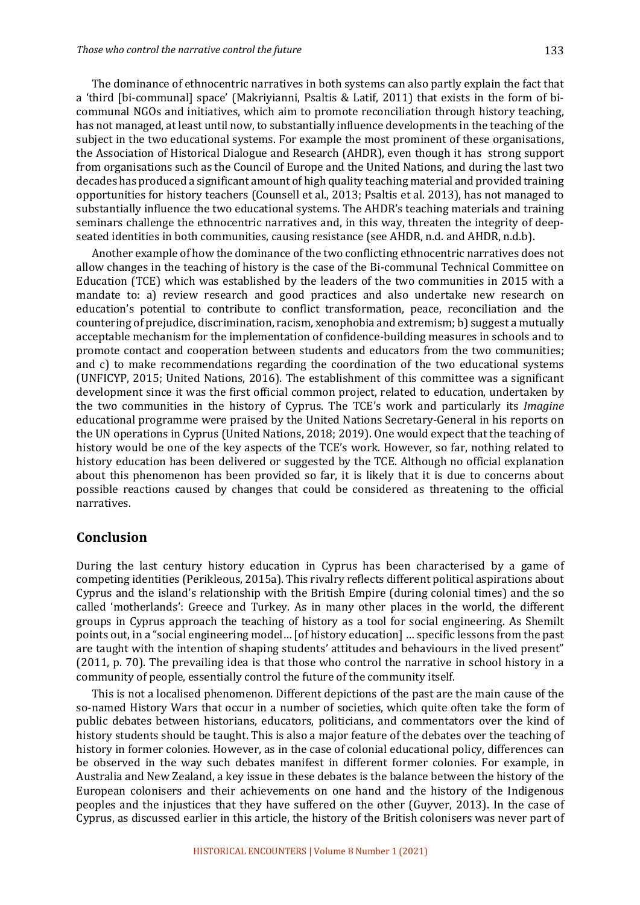The dominance of ethnocentric narratives in both systems can also partly explain the fact that a 'third [bi-communal] space' (Makriyianni, Psaltis & Latif, 2011) that exists in the form of bicommunal NGOs and initiatives, which aim to promote reconciliation through history teaching, has not managed, at least until now, to substantially influence developments in the teaching of the subject in the two educational systems. For example the most prominent of these organisations, the Association of Historical Dialogue and Research (AHDR), even though it has strong support from organisations such as the Council of Europe and the United Nations, and during the last two decades has produced a significant amount of high quality teaching material and provided training opportunities for history teachers (Counsell et al., 2013; Psaltis et al. 2013), has not managed to substantially influence the two educational systems. The AHDR's teaching materials and training seminars challenge the ethnocentric narratives and, in this way, threaten the integrity of deepseated identities in both communities, causing resistance (see AHDR, n.d. and AHDR, n.d.b).

Another example of how the dominance of the two conflicting ethnocentric narratives does not allow changes in the teaching of history is the case of the Bi-communal Technical Committee on Education (TCE) which was established by the leaders of the two communities in 2015 with a mandate to: a) review research and good practices and also undertake new research on education's potential to contribute to conflict transformation, peace, reconciliation and the countering of prejudice, discrimination, racism, xenophobia and extremism; b) suggest a mutually acceptable mechanism for the implementation of confidence-building measures in schools and to promote contact and cooperation between students and educators from the two communities; and  $c$ ) to make recommendations regarding the coordination of the two educational systems (UNFICYP, 2015; United Nations, 2016). The establishment of this committee was a significant development since it was the first official common project, related to education, undertaken by the two communities in the history of Cyprus. The TCE's work and particularly its *Imagine* educational programme were praised by the United Nations Secretary-General in his reports on the UN operations in Cyprus (United Nations, 2018; 2019). One would expect that the teaching of history would be one of the key aspects of the TCE's work. However, so far, nothing related to history education has been delivered or suggested by the TCE. Although no official explanation about this phenomenon has been provided so far, it is likely that it is due to concerns about possible reactions caused by changes that could be considered as threatening to the official narratives. 

## **Conclusion**

During the last century history education in Cyprus has been characterised by a game of competing identities (Perikleous, 2015a). This rivalry reflects different political aspirations about Cyprus and the island's relationship with the British Empire (during colonial times) and the so called 'motherlands': Greece and Turkey. As in many other places in the world, the different groups in Cyprus approach the teaching of history as a tool for social engineering. As Shemilt points out, in a "social engineering model... [of history education] ... specific lessons from the past are taught with the intention of shaping students' attitudes and behaviours in the lived present" (2011, p. 70). The prevailing idea is that those who control the narrative in school history in a community of people, essentially control the future of the community itself.

This is not a localised phenomenon. Different depictions of the past are the main cause of the so-named History Wars that occur in a number of societies, which quite often take the form of public debates between historians, educators, politicians, and commentators over the kind of history students should be taught. This is also a major feature of the debates over the teaching of history in former colonies. However, as in the case of colonial educational policy, differences can be observed in the way such debates manifest in different former colonies. For example, in Australia and New Zealand, a key issue in these debates is the balance between the history of the European colonisers and their achievements on one hand and the history of the Indigenous peoples and the injustices that they have suffered on the other (Guyver, 2013). In the case of Cyprus, as discussed earlier in this article, the history of the British colonisers was never part of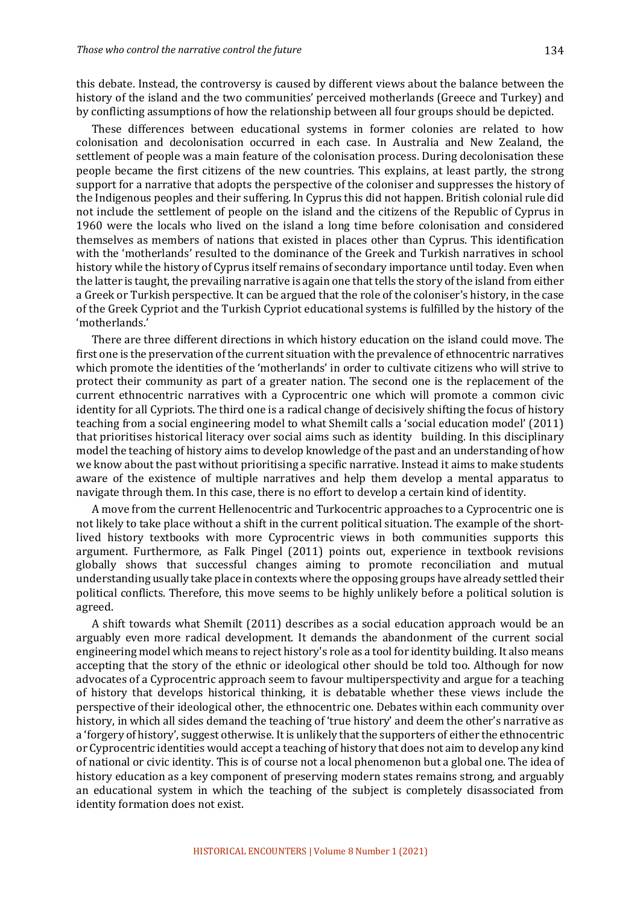this debate. Instead, the controversy is caused by different views about the balance between the history of the island and the two communities' perceived motherlands (Greece and Turkey) and by conflicting assumptions of how the relationship between all four groups should be depicted.

These differences between educational systems in former colonies are related to how colonisation and decolonisation occurred in each case. In Australia and New Zealand, the settlement of people was a main feature of the colonisation process. During decolonisation these people became the first citizens of the new countries. This explains, at least partly, the strong support for a narrative that adopts the perspective of the coloniser and suppresses the history of the Indigenous peoples and their suffering. In Cyprus this did not happen. British colonial rule did not include the settlement of people on the island and the citizens of the Republic of Cyprus in 1960 were the locals who lived on the island a long time before colonisation and considered themselves as members of nations that existed in places other than Cyprus. This identification with the 'motherlands' resulted to the dominance of the Greek and Turkish narratives in school history while the history of Cyprus itself remains of secondary importance until today. Even when the latter is taught, the prevailing narrative is again one that tells the story of the island from either a Greek or Turkish perspective. It can be argued that the role of the coloniser's history, in the case of the Greek Cypriot and the Turkish Cypriot educational systems is fulfilled by the history of the 'motherlands.' 

There are three different directions in which history education on the island could move. The first one is the preservation of the current situation with the prevalence of ethnocentric narratives which promote the identities of the 'motherlands' in order to cultivate citizens who will strive to protect their community as part of a greater nation. The second one is the replacement of the current ethnocentric narratives with a Cyprocentric one which will promote a common civic identity for all Cypriots. The third one is a radical change of decisively shifting the focus of history teaching from a social engineering model to what Shemilt calls a 'social education model' (2011) that prioritises historical literacy over social aims such as identity building. In this disciplinary model the teaching of history aims to develop knowledge of the past and an understanding of how we know about the past without prioritising a specific narrative. Instead it aims to make students aware of the existence of multiple narratives and help them develop a mental apparatus to navigate through them. In this case, there is no effort to develop a certain kind of identity.

A move from the current Hellenocentric and Turkocentric approaches to a Cyprocentric one is not likely to take place without a shift in the current political situation. The example of the shortlived history textbooks with more Cyprocentric views in both communities supports this argument. Furthermore, as Falk Pingel (2011) points out, experience in textbook revisions globally shows that successful changes aiming to promote reconciliation and mutual understanding usually take place in contexts where the opposing groups have already settled their political conflicts. Therefore, this move seems to be highly unlikely before a political solution is agreed. 

A shift towards what Shemilt (2011) describes as a social education approach would be an arguably even more radical development. It demands the abandonment of the current social engineering model which means to reject history's role as a tool for identity building. It also means accepting that the story of the ethnic or ideological other should be told too. Although for now advocates of a Cyprocentric approach seem to favour multiperspectivity and argue for a teaching of history that develops historical thinking, it is debatable whether these views include the perspective of their ideological other, the ethnocentric one. Debates within each community over history, in which all sides demand the teaching of 'true history' and deem the other's narrative as a 'forgery of history', suggest otherwise. It is unlikely that the supporters of either the ethnocentric or Cyprocentric identities would accept a teaching of history that does not aim to develop any kind of national or civic identity. This is of course not a local phenomenon but a global one. The idea of history education as a key component of preserving modern states remains strong, and arguably an educational system in which the teaching of the subject is completely disassociated from identity formation does not exist.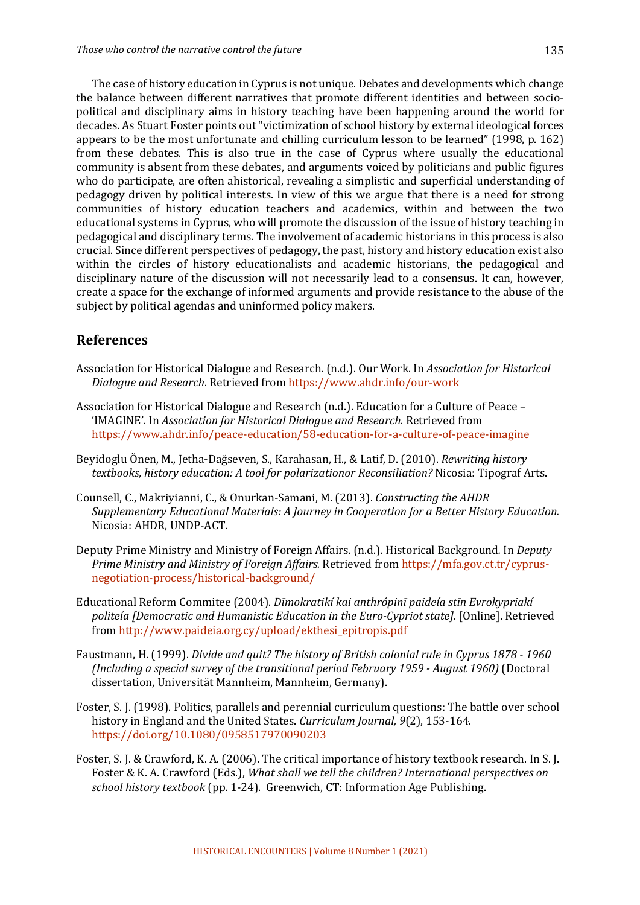The case of history education in Cyprus is not unique. Debates and developments which change the balance between different narratives that promote different identities and between sociopolitical and disciplinary aims in history teaching have been happening around the world for decades. As Stuart Foster points out "victimization of school history by external ideological forces appears to be the most unfortunate and chilling curriculum lesson to be learned" (1998, p. 162) from these debates. This is also true in the case of Cyprus where usually the educational community is absent from these debates, and arguments voiced by politicians and public figures who do participate, are often ahistorical, revealing a simplistic and superficial understanding of pedagogy driven by political interests. In view of this we argue that there is a need for strong communities of history education teachers and academics, within and between the two educational systems in Cyprus, who will promote the discussion of the issue of history teaching in pedagogical and disciplinary terms. The involvement of academic historians in this process is also crucial. Since different perspectives of pedagogy, the past, history and history education exist also within the circles of history educationalists and academic historians, the pedagogical and disciplinary nature of the discussion will not necessarily lead to a consensus. It can, however, create a space for the exchange of informed arguments and provide resistance to the abuse of the subject by political agendas and uninformed policy makers.

# **References**

- Association for Historical Dialogue and Research. (n.d.). Our Work. In *Association for Historical Dialogue and Research*. Retrieved from https://www.ahdr.info/our-work
- Association for Historical Dialogue and Research  $(n.d.)$ . Education for a Culture of Peace 'IMAGINE'. In *Association for Historical Dialogue and Research*. Retrieved from https://www.ahdr.info/peace-education/58-education-for-a-culture-of-peace-imagine
- Beyidoglu Önen, M., Jetha-Dağseven, S., Karahasan, H., & Latif, D. (2010). *Rewriting history textbooks, history education: A tool for polarizationor Reconsiliation?* Nicosia: Tipograf Arts.
- Counsell, C., Makriyianni, C., & Onurkan-Samani, M. (2013). *Constructing the AHDR* Supplementary Educational Materials: A Journey in Cooperation for a Better History Education. Nicosia: AHDR, UNDP-ACT.
- Deputy Prime Ministry and Ministry of Foreign Affairs. (n.d.). Historical Background. In *Deputy Prime Ministry and Ministry of Foreign Affairs.* Retrieved from https://mfa.gov.ct.tr/cyprusnegotiation-process/historical-background/
- Educational Reform Commitee (2004). *Dīmokratikí kai anthrópinī paideía stīn Evrokypriakí* politeía [Democratic and Humanistic Education in the Euro-Cypriot state]. [Online]. Retrieved from http://www.paideia.org.cy/upload/ekthesi\_epitropis.pdf
- Faustmann, H. (1999). *Divide and quit? The history of British colonial rule in Cyprus 1878 1960 (Including a special survey of the transitional period February 1959 - August 1960)* (Doctoral dissertation, Universität Mannheim, Mannheim, Germany).
- Foster, S. J. (1998). Politics, parallels and perennial curriculum questions: The battle over school history in England and the United States. *Curriculum Journal*, 9(2), 153-164. https://doi.org/10.1080/0958517970090203
- Foster, S. J. & Crawford, K. A. (2006). The critical importance of history textbook research. In S. J. Foster & K. A. Crawford (Eds.), *What shall we tell the children? International perspectives on school history textbook* (pp. 1-24). Greenwich, CT: Information Age Publishing.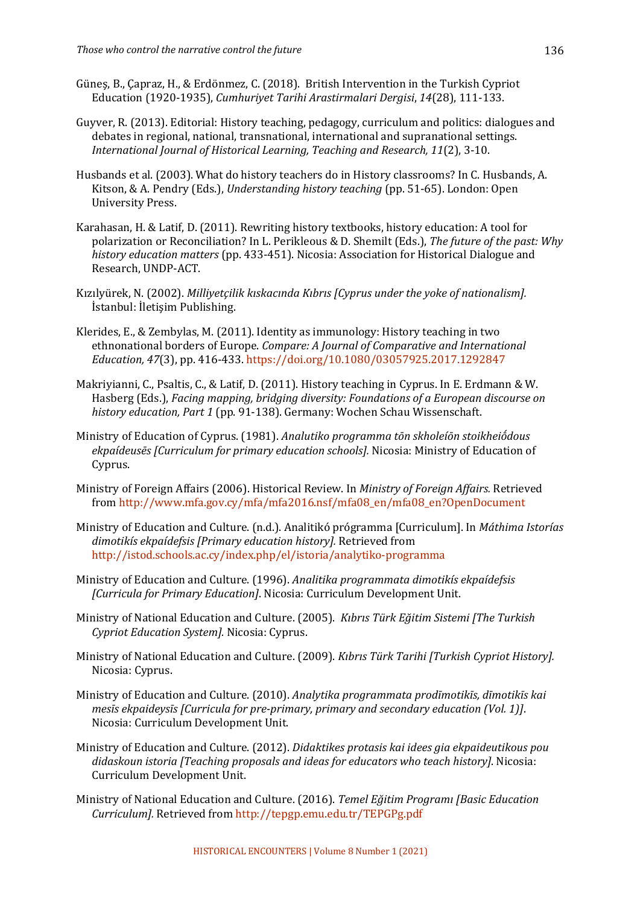- Güneş, B., Çapraz, H., & Erdönmez, C. (2018). British Intervention in the Turkish Cypriot Education (1920-1935), *Cumhuriyet Tarihi Arastirmalari Dergisi*, 14(28), 111-133.
- Guyver, R. (2013). Editorial: History teaching, pedagogy, curriculum and politics: dialogues and debates in regional, national, transnational, international and supranational settings. *International Journal of Historical Learning, Teaching and Research, 11*(2), 3-10.
- Husbands et al. (2003). What do history teachers do in History classrooms? In C. Husbands, A. Kitson, & A. Pendry (Eds.), *Understanding history teaching* (pp. 51-65). London: Open University Press.
- Karahasan, H. & Latif, D. (2011). Rewriting history textbooks, history education: A tool for polarization or Reconciliation? In L. Perikleous & D. Shemilt (Eds.), *The future of the past: Why* history education matters (pp. 433-451). Nicosia: Association for Historical Dialogue and Research, UNDP-ACT.
- Kızılyürek, N. (2002). *Milliyetçilik kıskacında Kıbrıs [Cyprus under the yoke of nationalism].* İstanbul: İletisim Publishing.
- Klerides, E., & Zembylas, M.  $(2011)$ . Identity as immunology: History teaching in two ethnonational borders of Europe. *Compare: A Journal of Comparative and International Education,* 47(3), pp. 416-433. https://doi.org/10.1080/03057925.2017.1292847
- Makriyianni, C., Psaltis, C., & Latif, D. (2011). History teaching in Cyprus. In E. Erdmann & W. Hasberg (Eds.), *Facing mapping, bridging diversity: Foundations of a European discourse on* history education, Part 1 (pp. 91-138). Germany: Wochen Schau Wissenschaft.
- Ministry of Education of Cyprus. (1981). *Analutiko programma tōn skholeíōn stoikheions* ekpaídeusēs [Curriculum for primary education schools]. Nicosia: Ministry of Education of Cyprus.
- Ministry of Foreign Affairs (2006). Historical Review. In *Ministry of Foreign Affairs*. Retrieved from http://www.mfa.gov.cy/mfa/mfa2016.nsf/mfa08\_en/mfa08\_en?OpenDocument
- Ministry of Education and Culture. (n.d.). Analitikó prógramma [Curriculum]. In *Máthima Istorías* dimotikís ekpaídefsis [Primary education history]. Retrieved from http://istod.schools.ac.cy/index.php/el/istoria/analytiko-programma
- Ministry of Education and Culture. (1996). *Analitika programmata dimotikís ekpaídefsis [Curricula for Primary Education]*. Nicosia: Curriculum Development Unit.
- Ministry of National Education and Culture. (2005). *Kıbrıs Türk Eğitim Sistemi [The Turkish Cypriot Education System].* Nicosia: Cyprus.
- Ministry of National Education and Culture. (2009). *Kıbrıs Türk Tarihi [Turkish Cypriot History].* Nicosia: Cyprus.
- Ministry of Education and Culture. (2010). Analytika programmata prodīmotikīs, dīmotikīs kai mesīs ekpaideysīs [Curricula for pre-primary, primary and secondary education (Vol. 1)]. Nicosia: Curriculum Development Unit.
- Ministry of Education and Culture. (2012). *Didaktikes protasis kai idees gia ekpaideutikous pou* didaskoun istoria [Teaching proposals and ideas for educators who teach history]. Nicosia: Curriculum Development Unit.
- Ministry of National Education and Culture. (2016). *Temel Eğitim Programı [Basic Education Curriculum].* Retrieved from http://tepgp.emu.edu.tr/TEPGPg.pdf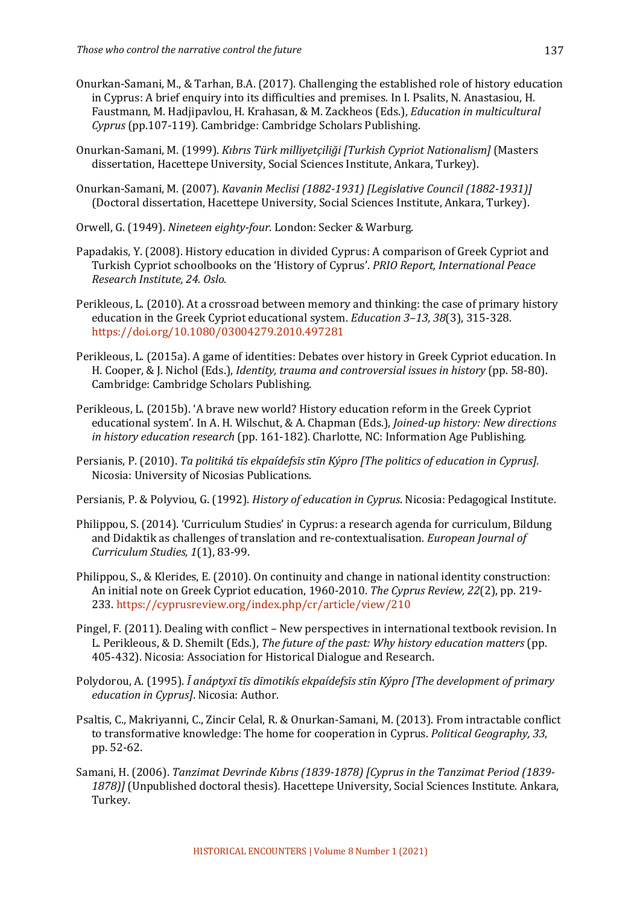- Onurkan-Samani, M., & Tarhan, B.A. (2017). Challenging the established role of history education in Cyprus: A brief enquiry into its difficulties and premises. In I. Psalits, N. Anastasiou, H. Faustmann, M. Hadjipavlou, H. Krahasan, & M. Zackheos (Eds.), *Education in multicultural Cyprus* (pp.107-119). Cambridge: Cambridge Scholars Publishing.
- Onurkan-Samani, M. (1999). *Kıbrıs Türk milliyetçiliği [Turkish Cypriot Nationalism]* (Masters dissertation, Hacettepe University, Social Sciences Institute, Ankara, Turkey).
- Onurkan-Samani, M. (2007). *Kavanin Meclisi (1882-1931) [Legislative Council (1882-1931)]* (Doctoral dissertation, Hacettepe University, Social Sciences Institute, Ankara, Turkey).
- Orwell, G. (1949). Nineteen eighty-four. London: Secker & Warburg.
- Papadakis, Y. (2008). History education in divided Cyprus: A comparison of Greek Cypriot and Turkish Cypriot schoolbooks on the 'History of Cyprus'. *PRIO Report, International Peace Research Institute, 24. Oslo.*
- Perikleous, L. (2010). At a crossroad between memory and thinking: the case of primary history education in the Greek Cypriot educational system. *Education* 3-13, 38(3), 315-328. https://doi.org/10.1080/03004279.2010.497281
- Perikleous, L. (2015a). A game of identities: Debates over history in Greek Cypriot education. In H. Cooper, & J. Nichol (Eds.), *Identity, trauma and controversial issues in history* (pp. 58-80). Cambridge: Cambridge Scholars Publishing.
- Perikleous, L. (2015b). 'A brave new world? History education reform in the Greek Cypriot educational system'. In A. H. Wilschut, & A. Chapman (Eds.), *Joined-up history: New directions in history education research* (pp. 161-182). Charlotte, NC: Information Age Publishing.
- Persianis, P. (2010). *Ta politiká tīs ekpaídefsīs stīn Kýpro [The politics of education in Cyprus].* Nicosia: University of Nicosias Publications.

Persianis, P. & Polyviou, G. (1992). *History of education in Cyprus*. Nicosia: Pedagogical Institute.

- Philippou, S. (2014). 'Curriculum Studies' in Cyprus: a research agenda for curriculum, Bildung and Didaktik as challenges of translation and re-contextualisation. *European Journal of Curriculum Studies, 1*(1), 83-99.
- Philippou, S., & Klerides, E. (2010). On continuity and change in national identity construction: An initial note on Greek Cypriot education, 1960-2010. *The Cyprus Review, 22*(2), pp. 219-233. https://cyprusreview.org/index.php/cr/article/view/210
- Pingel, F. (2011). Dealing with conflict New perspectives in international textbook revision. In L. Perikleous, & D. Shemilt (Eds.), *The future of the past: Why history education matters* (pp. 405-432). Nicosia: Association for Historical Dialogue and Research.
- Polydorou, A. (1995). *Ī anáptyxī tīs dīmotikís ekpaídefsīs stīn Kýpro [The development of primary education in Cyprus]*. Nicosia: Author.
- Psaltis, C., Makriyanni, C., Zincir Celal, R. & Onurkan-Samani, M. (2013). From intractable conflict to transformative knowledge: The home for cooperation in Cyprus. *Political Geography, 33*, pp. 52-62.
- Samani, H. (2006). *Tanzimat Devrinde Kıbrıs (1839-1878)* [Cyprus in the Tanzimat Period (1839-1878)] (Unpublished doctoral thesis). Hacettepe University, Social Sciences Institute. Ankara, Turkey.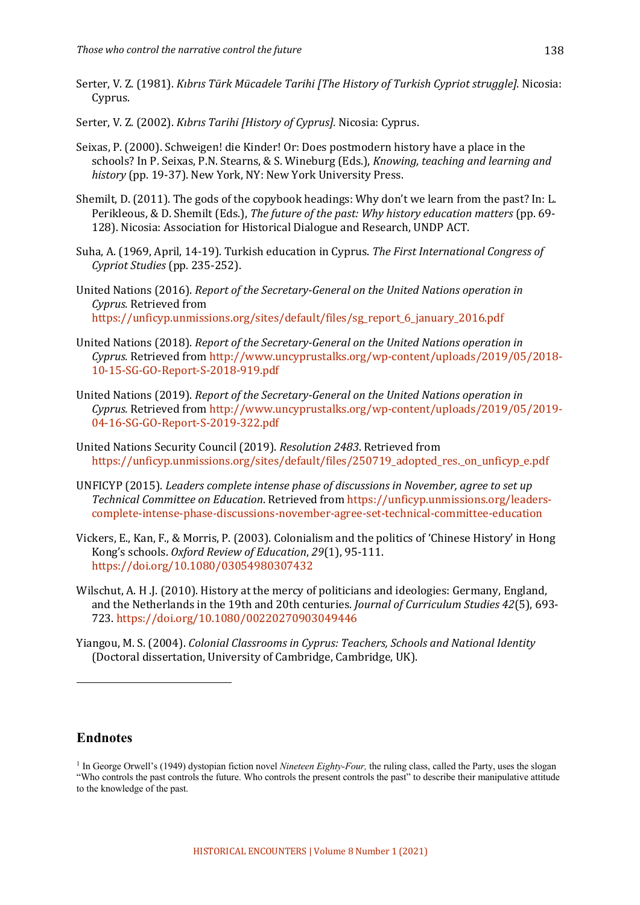- Serter, V. Z. (1981). *Kibris Türk Mücadele Tarihi [The History of Turkish Cypriot struggle]*. Nicosia: Cyprus.
- Serter, V. Z. (2002). *Kibris Tarihi [History of Cyprus].* Nicosia: Cyprus.
- Seixas, P. (2000). Schweigen! die Kinder! Or: Does postmodern history have a place in the schools? In P. Seixas, P.N. Stearns, & S. Wineburg (Eds.), *Knowing, teaching and learning and* history (pp. 19-37). New York, NY: New York University Press.
- Shemilt, D. (2011). The gods of the copybook headings: Why don't we learn from the past? In: L. Perikleous, & D. Shemilt (Eds.), *The future of the past: Why history education matters* (pp. 69-128). Nicosia: Association for Historical Dialogue and Research, UNDP ACT.
- Suha, A. (1969, April, 14-19). Turkish education in Cyprus. The First International Congress of *Cypriot Studies* (pp*.* 235-252).
- United Nations (2016). *Report of the Secretary-General on the United Nations operation in Cyprus.* Retrieved from https://unficyp.unmissions.org/sites/default/files/sg\_report\_6\_january\_2016.pdf
- United Nations (2018). *Report of the Secretary-General on the United Nations operation in Cyprus.* Retrieved from http://www.uncyprustalks.org/wp-content/uploads/2019/05/2018- 10-15-SG-GO-Report-S-2018-919.pdf
- United Nations (2019). *Report of the Secretary-General on the United Nations operation in Cyprus.* Retrieved from http://www.uncyprustalks.org/wp-content/uploads/2019/05/2019- 04-16-SG-GO-Report-S-2019-322.pdf
- United Nations Security Council (2019). *Resolution 2483*. Retrieved from https://unficyp.unmissions.org/sites/default/files/250719\_adopted\_res.\_on\_unficyp\_e.pdf
- UNFICYP (2015). *Leaders complete intense phase of discussions in November, agree to set up Technical Committee on Education*. Retrieved from https://unficyp.unmissions.org/leaderscomplete-intense-phase-discussions-november-agree-set-technical-committee-education
- Vickers, E., Kan, F., & Morris, P. (2003). Colonialism and the politics of 'Chinese History' in Hong Kong's schools. *Oxford Review of Education*, 29(1), 95-111. https://doi.org/10.1080/03054980307432
- Wilschut, A. H.J. (2010). History at the mercy of politicians and ideologies: Germany, England, and the Netherlands in the 19th and 20th centuries. *Journal of Curriculum Studies 42*(5), 693-723. https://doi.org/10.1080/00220270903049446
- Yiangou, M. S. (2004). *Colonial Classrooms in Cyprus: Teachers, Schools and National Identity* (Doctoral dissertation, University of Cambridge, Cambridge, UK).

# **Endnotes**

<sup>1</sup> In George Orwell's (1949) dystopian fiction novel *Nineteen Eighty-Four,* the ruling class, called the Party, uses the slogan "Who controls the past controls the future. Who controls the present controls the past" to describe their manipulative attitude to the knowledge of the past.